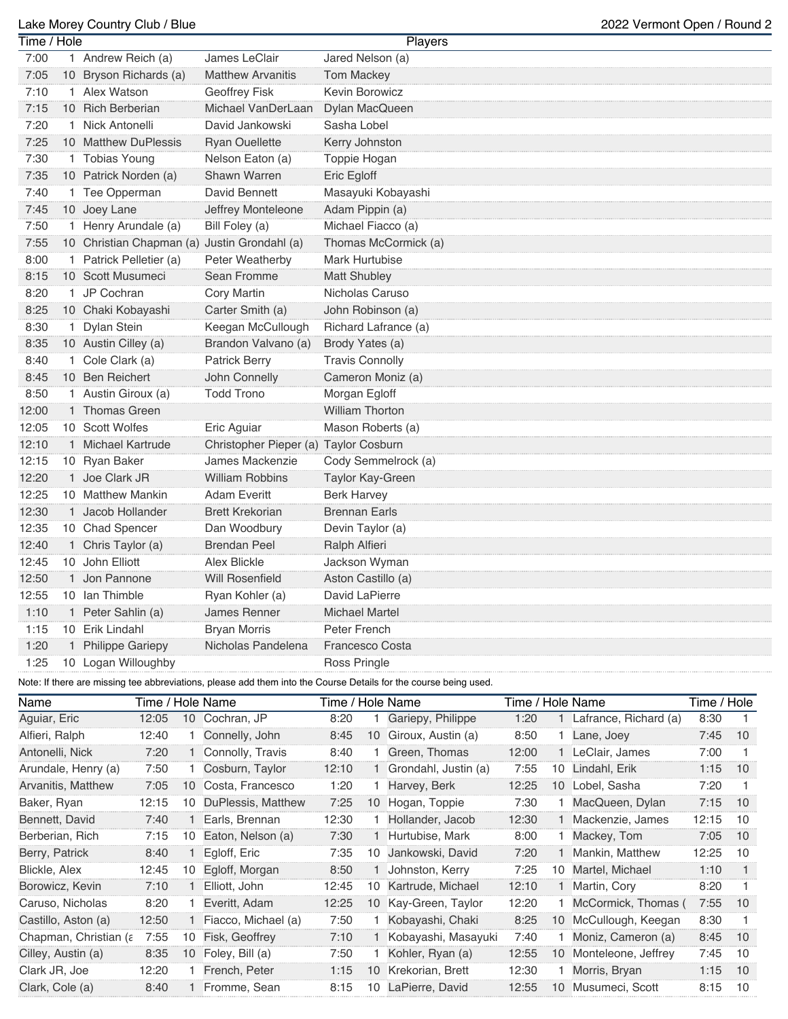## Lake Morey Country Club / Blue 2022 Vermont Open / Round 2

| Time / Hole |                                              |                                       | Players                |
|-------------|----------------------------------------------|---------------------------------------|------------------------|
| 7:00        | 1 Andrew Reich (a)                           | James LeClair                         | Jared Nelson (a)       |
| 7:05        | 10 Bryson Richards (a)                       | <b>Matthew Arvanitis</b>              | <b>Tom Mackey</b>      |
| 7:10        | 1 Alex Watson                                | Geoffrey Fisk                         | Kevin Borowicz         |
| 7:15        | 10 Rich Berberian                            | Michael VanDerLaan                    | Dylan MacQueen         |
| 7:20        | 1 Nick Antonelli                             | David Jankowski                       | Sasha Lobel            |
| 7:25        | 10 Matthew DuPlessis                         | <b>Ryan Ouellette</b>                 | Kerry Johnston         |
| 7:30        | 1 Tobias Young                               | Nelson Eaton (a)                      | Toppie Hogan           |
| 7:35        | 10 Patrick Norden (a)                        | <b>Shawn Warren</b>                   | Eric Egloff            |
| 7:40        | 1 Tee Opperman                               | David Bennett                         | Masayuki Kobayashi     |
| 7:45        | 10 Joey Lane                                 | Jeffrey Monteleone                    | Adam Pippin (a)        |
| 7:50        | 1 Henry Arundale (a)                         | Bill Foley (a)                        | Michael Fiacco (a)     |
| 7:55        | 10 Christian Chapman (a) Justin Grondahl (a) |                                       | Thomas McCormick (a)   |
| 8:00        | 1 Patrick Pelletier (a)                      | Peter Weatherby                       | <b>Mark Hurtubise</b>  |
| 8:15        | 10 Scott Musumeci                            | Sean Fromme                           | Matt Shubley           |
| 8:20        | 1 JP Cochran                                 | Cory Martin                           | Nicholas Caruso        |
| 8:25        | 10 Chaki Kobayashi                           | Carter Smith (a)                      | John Robinson (a)      |
| 8:30        | 1 Dylan Stein                                | Keegan McCullough                     | Richard Lafrance (a)   |
| 8:35        | 10 Austin Cilley (a)                         | Brandon Valvano (a)                   | Brody Yates (a)        |
| 8:40        | 1 Cole Clark (a)                             | <b>Patrick Berry</b>                  | <b>Travis Connolly</b> |
| 8:45        | 10 Ben Reichert                              | John Connelly                         | Cameron Moniz (a)      |
| 8:50        | 1 Austin Giroux (a)                          | <b>Todd Trono</b>                     | Morgan Egloff          |
| 12:00       | 1 Thomas Green                               |                                       | <b>William Thorton</b> |
| 12:05       | 10 Scott Wolfes                              | Eric Aguiar                           | Mason Roberts (a)      |
| 12:10       | 1 Michael Kartrude                           | Christopher Pieper (a) Taylor Cosburn |                        |
| 12:15       | 10 Ryan Baker                                | James Mackenzie                       | Cody Semmelrock (a)    |
| 12:20       | 1 Joe Clark JR                               | <b>William Robbins</b>                | Taylor Kay-Green       |
| 12:25       | 10 Matthew Mankin                            | <b>Adam Everitt</b>                   | <b>Berk Harvey</b>     |
| 12:30       | 1 Jacob Hollander                            | <b>Brett Krekorian</b>                | <b>Brennan Earls</b>   |
| 12:35       | 10 Chad Spencer                              | Dan Woodbury                          | Devin Taylor (a)       |
| 12:40       | 1 Chris Taylor (a)                           | <b>Brendan Peel</b>                   | Ralph Alfieri          |
| 12:45       | 10 John Elliott                              | <b>Alex Blickle</b>                   | Jackson Wyman          |
| 12:50       | 1 Jon Pannone                                | <b>Will Rosenfield</b>                | Aston Castillo (a)     |
| 12:55       | 10 Ian Thimble                               | Ryan Kohler (a)                       | David LaPierre         |
| 1:10        | 1 Peter Sahlin (a)                           | James Renner                          | <b>Michael Martel</b>  |
| 1:15        | 10 Erik Lindahl                              | <b>Bryan Morris</b>                   | Peter French           |
| 1:20        | 1 Philippe Gariepy                           | Nicholas Pandelena                    | <b>Francesco Costa</b> |
| 1:25        | 10 Logan Willoughby                          |                                       | Ross Pringle           |
|             |                                              |                                       |                        |

Note: If there are missing tee abbreviations, please add them into the Course Details for the course being used.

| Name                  | Time / Hole Name |    |                     | Time / Hole Name |    |                      | Time / Hole Name |    |                       | Time / Hole |    |
|-----------------------|------------------|----|---------------------|------------------|----|----------------------|------------------|----|-----------------------|-------------|----|
| Aguiar, Eric          | 12:05            | 10 | Cochran, JP         | 8:20             |    | Gariepy, Philippe    | 1:20             |    | Lafrance, Richard (a) | 8:30        |    |
| Alfieri, Ralph        | 12:40            |    | Connelly, John      | 8:45             | 10 | Giroux, Austin (a)   | 8:50             |    | Lane, Joey            | 7:45        | 10 |
| Antonelli, Nick       | 7:20             |    | Connolly, Travis    | 8:40             |    | Green, Thomas        | 12:00            |    | LeClair, James        | 7:00        |    |
| Arundale, Henry (a)   | 7:50             |    | Cosburn, Taylor     | 12:10            |    | Grondahl, Justin (a) | 7:55             | 10 | Lindahl, Erik         | 1:15        | 10 |
| Arvanitis, Matthew    | 7:05             | 10 | Costa, Francesco    | 1:20             |    | Harvey, Berk         | 12:25            | 10 | Lobel, Sasha          | 7:20        |    |
| Baker, Ryan           | 12:15            | 10 | DuPlessis, Matthew  | 7:25             | 10 | Hogan, Toppie        | 7:30             |    | MacQueen, Dylan       | 7:15        | 10 |
| Bennett, David        | 7:40             |    | Earls, Brennan      | 12:30            |    | Hollander, Jacob     | 12:30            |    | Mackenzie, James      | 12:15       | 10 |
| Berberian, Rich       | 7:15             | 10 | Eaton, Nelson (a)   | 7:30             |    | Hurtubise, Mark      | 8:00             |    | Mackey, Tom           | 7:05        | 10 |
| Berry, Patrick        | 8:40             |    | Egloff, Eric        | 7:35             | 10 | Jankowski, David     | 7:20             |    | Mankin, Matthew       | 12:25       | 10 |
| Blickle, Alex         | 12:45            | 10 | Egloff, Morgan      | 8:50             |    | Johnston, Kerry      | 7:25             | 10 | Martel, Michael       | 1:10        |    |
| Borowicz, Kevin       | 7:10             |    | Elliott, John       | 12:45            | 10 | Kartrude, Michael    | 12:10            |    | Martin, Cory          | 8:20        | 1  |
| Caruso, Nicholas      | 8:20             |    | Everitt, Adam       | 12:25            | 10 | Kay-Green, Taylor    | 12:20            |    | McCormick, Thomas (   | 7:55        | 10 |
| Castillo, Aston (a)   | 12:50            |    | Fiacco, Michael (a) | 7:50             |    | Kobayashi, Chaki     | 8:25             | 10 | McCullough, Keegan    | 8:30        |    |
| Chapman, Christian (a | 7:55             | 10 | Fisk, Geoffrey      | 7:10             |    | Kobayashi, Masayuki  | 7:40             |    | Moniz, Cameron (a)    | 8:45        | 10 |
| Cilley, Austin (a)    | 8:35             | 10 | Foley, Bill (a)     | 7:50             |    | Kohler, Ryan (a)     | 12:55            | 10 | Monteleone, Jeffrey   | 7:45        | 10 |
| Clark JR, Joe         | 12:20            |    | French, Peter       | 1:15             | 10 | Krekorian, Brett     | 12:30            |    | Morris, Bryan         | 1:15        | 10 |
| Clark, Cole (a)       | 8:40             |    | Fromme, Sean        | 8:15             | 10 | LaPierre, David      | 12:55            | 10 | Musumeci, Scott       | 8:15        | 10 |